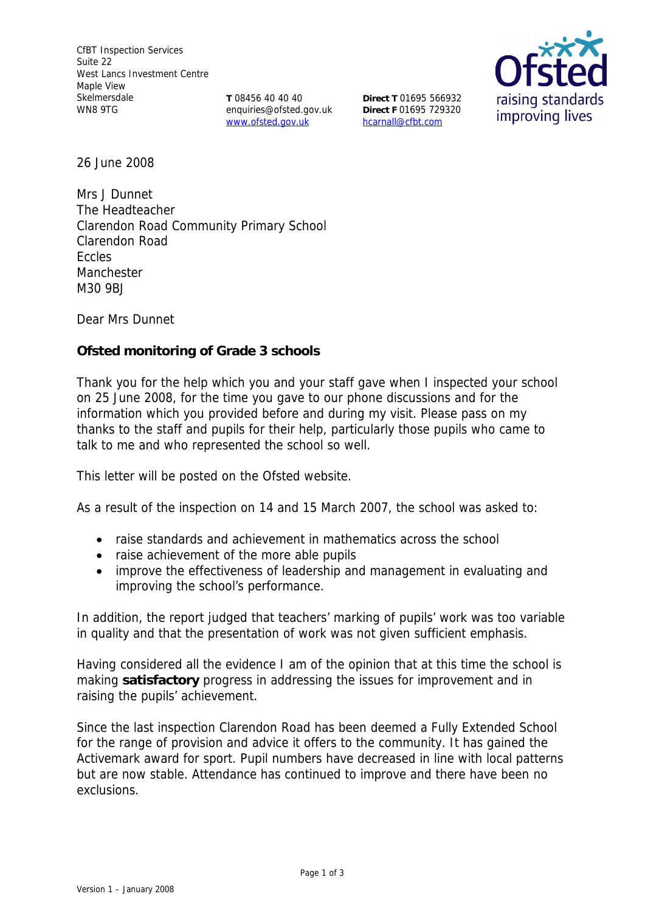**T** 08456 40 40 40 enquiries@ofsted.gov.uk www.ofsted.gov.uk

**Direct T** 01695 566932 **Direct F** 01695 729320 hcarnall@cfbt.com



26 June 2008

Mrs J Dunnet The Headteacher Clarendon Road Community Primary School Clarendon Road Eccles Manchester M30 9BJ

Dear Mrs Dunnet

**Ofsted monitoring of Grade 3 schools** 

Thank you for the help which you and your staff gave when I inspected your school on 25 June 2008, for the time you gave to our phone discussions and for the information which you provided before and during my visit. Please pass on my thanks to the staff and pupils for their help, particularly those pupils who came to talk to me and who represented the school so well.

This letter will be posted on the Ofsted website.

As a result of the inspection on 14 and 15 March 2007, the school was asked to:

- raise standards and achievement in mathematics across the school
- raise achievement of the more able pupils
- improve the effectiveness of leadership and management in evaluating and improving the school's performance.

In addition, the report judged that teachers' marking of pupils' work was too variable in quality and that the presentation of work was not given sufficient emphasis.

Having considered all the evidence I am of the opinion that at this time the school is making **satisfactory** progress in addressing the issues for improvement and in raising the pupils' achievement.

Since the last inspection Clarendon Road has been deemed a Fully Extended School for the range of provision and advice it offers to the community. It has gained the Activemark award for sport. Pupil numbers have decreased in line with local patterns but are now stable. Attendance has continued to improve and there have been no exclusions.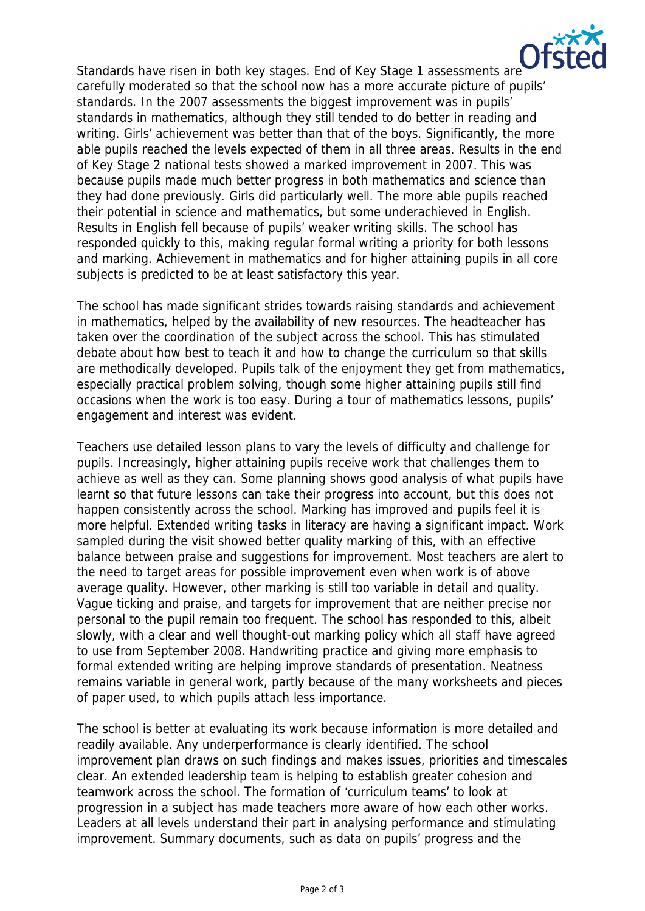

Standards have risen in both key stages. End of Key Stage 1 assessments are carefully moderated so that the school now has a more accurate picture of pupils' standards. In the 2007 assessments the biggest improvement was in pupils' standards in mathematics, although they still tended to do better in reading and writing. Girls' achievement was better than that of the boys. Significantly, the more able pupils reached the levels expected of them in all three areas. Results in the end of Key Stage 2 national tests showed a marked improvement in 2007. This was because pupils made much better progress in both mathematics and science than they had done previously. Girls did particularly well. The more able pupils reached their potential in science and mathematics, but some underachieved in English. Results in English fell because of pupils' weaker writing skills. The school has responded quickly to this, making regular formal writing a priority for both lessons and marking. Achievement in mathematics and for higher attaining pupils in all core subjects is predicted to be at least satisfactory this year.

The school has made significant strides towards raising standards and achievement in mathematics, helped by the availability of new resources. The headteacher has taken over the coordination of the subject across the school. This has stimulated debate about how best to teach it and how to change the curriculum so that skills are methodically developed. Pupils talk of the enjoyment they get from mathematics, especially practical problem solving, though some higher attaining pupils still find occasions when the work is too easy. During a tour of mathematics lessons, pupils' engagement and interest was evident.

Teachers use detailed lesson plans to vary the levels of difficulty and challenge for pupils. Increasingly, higher attaining pupils receive work that challenges them to achieve as well as they can. Some planning shows good analysis of what pupils have learnt so that future lessons can take their progress into account, but this does not happen consistently across the school. Marking has improved and pupils feel it is more helpful. Extended writing tasks in literacy are having a significant impact. Work sampled during the visit showed better quality marking of this, with an effective balance between praise and suggestions for improvement. Most teachers are alert to the need to target areas for possible improvement even when work is of above average quality. However, other marking is still too variable in detail and quality. Vague ticking and praise, and targets for improvement that are neither precise nor personal to the pupil remain too frequent. The school has responded to this, albeit slowly, with a clear and well thought-out marking policy which all staff have agreed to use from September 2008. Handwriting practice and giving more emphasis to formal extended writing are helping improve standards of presentation. Neatness remains variable in general work, partly because of the many worksheets and pieces of paper used, to which pupils attach less importance.

The school is better at evaluating its work because information is more detailed and readily available. Any underperformance is clearly identified. The school improvement plan draws on such findings and makes issues, priorities and timescales clear. An extended leadership team is helping to establish greater cohesion and teamwork across the school. The formation of 'curriculum teams' to look at progression in a subject has made teachers more aware of how each other works. Leaders at all levels understand their part in analysing performance and stimulating improvement. Summary documents, such as data on pupils' progress and the